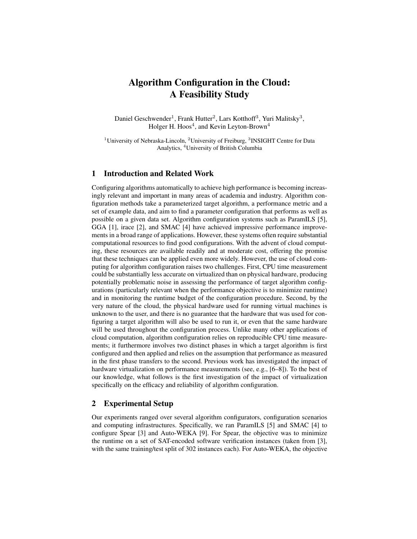# Algorithm Configuration in the Cloud: A Feasibility Study

Daniel Geschwender<sup>1</sup>, Frank Hutter<sup>2</sup>, Lars Kotthoff<sup>3</sup>, Yuri Malitsky<sup>3</sup>, Holger H. Hoos $^4$ , and Kevin Leyton-Brown $^4$ 

<sup>1</sup>University of Nebraska-Lincoln, <sup>2</sup>University of Freiburg, <sup>3</sup>INSIGHT Centre for Data Analytics, <sup>4</sup>University of British Columbia

### 1 Introduction and Related Work

Configuring algorithms automatically to achieve high performance is becoming increasingly relevant and important in many areas of academia and industry. Algorithm configuration methods take a parameterized target algorithm, a performance metric and a set of example data, and aim to find a parameter configuration that performs as well as possible on a given data set. Algorithm configuration systems such as ParamILS [5], GGA [1], irace [2], and SMAC [4] have achieved impressive performance improvements in a broad range of applications. However, these systems often require substantial computational resources to find good configurations. With the advent of cloud computing, these resources are available readily and at moderate cost, offering the promise that these techniques can be applied even more widely. However, the use of cloud computing for algorithm configuration raises two challenges. First, CPU time measurement could be substantially less accurate on virtualized than on physical hardware, producing potentially problematic noise in assessing the performance of target algorithm configurations (particularly relevant when the performance objective is to minimize runtime) and in monitoring the runtime budget of the configuration procedure. Second, by the very nature of the cloud, the physical hardware used for running virtual machines is unknown to the user, and there is no guarantee that the hardware that was used for configuring a target algorithm will also be used to run it, or even that the same hardware will be used throughout the configuration process. Unlike many other applications of cloud computation, algorithm configuration relies on reproducible CPU time measurements; it furthermore involves two distinct phases in which a target algorithm is first configured and then applied and relies on the assumption that performance as measured in the first phase transfers to the second. Previous work has investigated the impact of hardware virtualization on performance measurements (see, e.g., [6–8]). To the best of our knowledge, what follows is the first investigation of the impact of virtualization specifically on the efficacy and reliability of algorithm configuration.

## 2 Experimental Setup

Our experiments ranged over several algorithm configurators, configuration scenarios and computing infrastructures. Specifically, we ran ParamILS [5] and SMAC [4] to configure Spear [3] and Auto-WEKA [9]. For Spear, the objective was to minimize the runtime on a set of SAT-encoded software verification instances (taken from [3], with the same training/test split of 302 instances each). For Auto-WEKA, the objective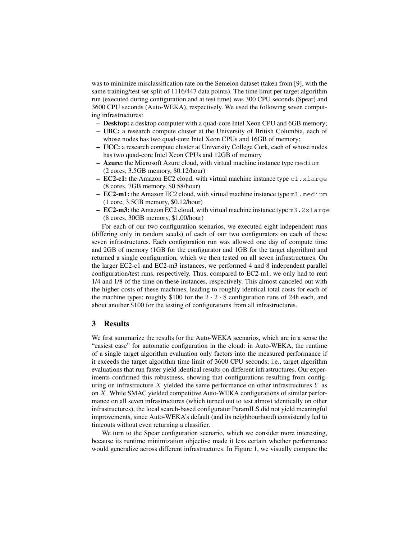was to minimize misclassification rate on the Semeion dataset (taken from [9], with the same training/test set split of 1116/447 data points). The time limit per target algorithm run (executed during configuration and at test time) was 300 CPU seconds (Spear) and 3600 CPU seconds (Auto-WEKA), respectively. We used the following seven computing infrastructures:

- Desktop: a desktop computer with a quad-core Intel Xeon CPU and 6GB memory;
- UBC: a research compute cluster at the University of British Columbia, each of whose nodes has two quad-core Intel Xeon CPUs and 16GB of memory;
- UCC: a research compute cluster at University College Cork, each of whose nodes has two quad-core Intel Xeon CPUs and 12GB of memory
- $-$  **Azure:** the Microsoft Azure cloud, with virtual machine instance type medium (2 cores, 3.5GB memory, \$0.12/hour)
- EC2-c1: the Amazon EC2 cloud, with virtual machine instance type c1.xlarge (8 cores, 7GB memory, \$0.58/hour)
- EC2-m1: the Amazon EC2 cloud, with virtual machine instance type m1 . medium (1 core, 3.5GB memory, \$0.12/hour)
- EC2-m3: the Amazon EC2 cloud, with virtual machine instance type  $m3.2x$ large (8 cores, 30GB memory, \$1.00/hour)

For each of our two configuration scenarios, we executed eight independent runs (differing only in random seeds) of each of our two configurators on each of these seven infrastructures. Each configuration run was allowed one day of compute time and 2GB of memory (1GB for the configurator and 1GB for the target algorithm) and returned a single configuration, which we then tested on all seven infrastructures. On the larger EC2-c1 and EC2-m3 instances, we performed 4 and 8 independent parallel configuration/test runs, respectively. Thus, compared to EC2-m1, we only had to rent 1/4 and 1/8 of the time on these instances, respectively. This almost canceled out with the higher costs of these machines, leading to roughly identical total costs for each of the machine types: roughly \$100 for the  $2 \cdot 2 \cdot 8$  configuration runs of 24h each, and about another \$100 for the testing of configurations from all infrastructures.

#### 3 Results

We first summarize the results for the Auto-WEKA scenarios, which are in a sense the "easiest case" for automatic configuration in the cloud: in Auto-WEKA, the runtime of a single target algorithm evaluation only factors into the measured performance if it exceeds the target algorithm time limit of 3600 CPU seconds; i.e., target algorithm evaluations that run faster yield identical results on different infrastructures. Our experiments confirmed this robustness, showing that configurations resulting from configuring on infrastructure  $X$  yielded the same performance on other infrastructures  $Y$  as on X. While SMAC yielded competitive Auto-WEKA configurations of similar performance on all seven infrastructures (which turned out to test almost identically on other infrastructures), the local search-based configurator ParamILS did not yield meaningful improvements, since Auto-WEKA's default (and its neighbourhood) consistently led to timeouts without even returning a classifier.

We turn to the Spear configuration scenario, which we consider more interesting, because its runtime minimization objective made it less certain whether performance would generalize across different infrastructures. In Figure 1, we visually compare the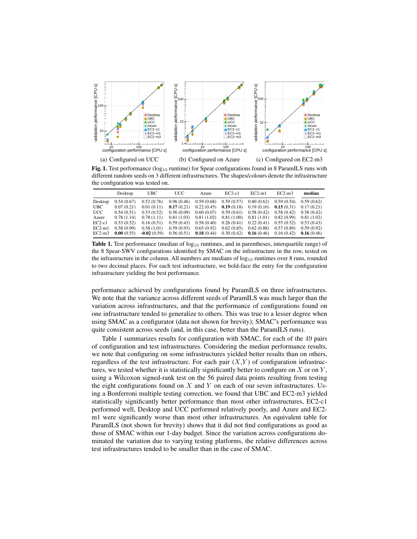

Fig. 1. Test performance (log<sub>10</sub> runtime) for Spear configurations found in 8 ParamILS runs with different random seeds on 3 different infrastructures. The shapes/colours denote the infrastructure the configuration was tested on.

|            | Desktop    | <b>UBC</b>    | <b>UCC</b> | Azure      | $EC2-c1$   | $EC2-m1$   | $EC2-m3$   | median     |
|------------|------------|---------------|------------|------------|------------|------------|------------|------------|
| Desktop    | 0.54(0.67) | 0.52(0.76)    | 0.96(0.46) | 0.59(0.68) | 0.59(0.57) | 0.80(0.62) | 0.59(0.54) | 0.59(0.62) |
| <b>UBC</b> | 0.07(0.21) | 0.01(0.11)    | 0.17(0.21) | 0.22(0.45) | 0.19(0.18) | 0.19(0.16) | 0.15(0.31) | 0.17(0.21) |
| UCC.       | 0.54(0.51) | 0.53(0.52)    | 0.56(0.09) | 0.60(0.07) | 0.59(0.61) | 0.58(0.42) | 0.58(0.42) | 0.58(0.42) |
| Azure      | 0.78(1.14) | 0.78(1.11)    | 0.81(1.03) | 0.81(1.02) | 0.81(1.00) | 0.81(1.01) | 0.82(0.99) | 0.81(1.02) |
| $EC2-c1$   | 0.53(0.52) | 0.16(0.51)    | 0.59(0.43) | 0.58(0.40) | 0.26(0.41) | 0.22(0.41) | 0.55(0.52) | 0.53(0.43) |
| $EC2-m1$   | 0.58(0.99) | 0.58(1.01)    | 0.59(0.93) | 0.65(0.92) | 0.62(0.85) | 0.62(0.88) | 0.57(0.89) | 0.59(0.92) |
| $EC2-m3$   | 0.00(0.55) | $-0.02(0.59)$ | 0.56(0.51) | 0.18(0.44) | 0.30(0.42) | 0.16(0.46) | 0.16(0.42) | 0.16(0.46) |

**Table 1.** Test performance (median of  $log_{10}$  runtimes, and in parentheses, interquartile range) of the 8 Spear-SWV configurations identified by SMAC on the infrastructure in the row, tested on the infrastructure in the column. All numbers are medians of  $log_{10}$  runtimes over 8 runs, rounded to two decimal places. For each test infrastructure, we bold-face the entry for the configuration infrastructure yielding the best performance.

performance achieved by configurations found by ParamILS on three infrastructures. We note that the variance across different seeds of ParamILS was much larger than the variation across infrastructures, and that the performance of configurations found on one infrastructure tended to generalize to others. This was true to a lesser degree when using SMAC as a configurator (data not shown for brevity); SMAC's performance was quite consistent across seeds (and, in this case, better than the ParamILS runs).

Table 1 summarizes results for configuration with SMAC, for each of the 49 pairs of configuration and test infrastructures. Considering the median performance results, we note that configuring on some infrastructures yielded better results than on others, regardless of the test infrastructure. For each pair  $(X, Y)$  of configuration infrastructures, we tested whether it is statistically significantly better to configure on  $X$  or on  $Y$ , using a Wilcoxon signed-rank test on the 56 paired data points resulting from testing the eight configurations found on  $X$  and  $Y$  on each of our seven infrastructures. Using a Bonferroni multiple testing correction, we found that UBC and EC2-m3 yielded statistically significantly better performance than most other infrastructures, EC2-c1 performed well, Desktop and UCC performed relatively poorly, and Azure and EC2 m1 were significantly worse than most other infrastructures. An equivalent table for ParamILS (not shown for brevity) shows that it did not find configurations as good as those of SMAC within our 1-day budget. Since the variation across configurations dominated the variation due to varying testing platforms, the relative differences across test infrastructures tended to be smaller than in the case of SMAC.